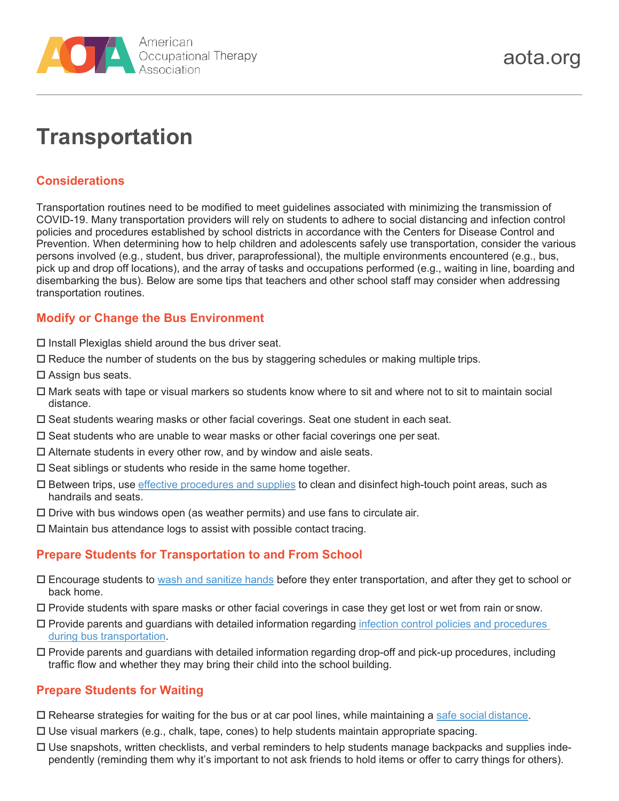

# **Transportation**

## **Considerations**

Transportation routines need to be modified to meet guidelines associated with minimizing the transmission of COVID-19. Many transportation providers will rely on students to adhere to social distancing and infection control policies and procedures established by school districts in accordance with the Centers for Disease Control and Prevention. When determining how to help children and adolescents safely use transportation, consider the various persons involved (e.g., student, bus driver, paraprofessional), the multiple environments encountered (e.g., bus, pick up and drop off locations), and the array of tasks and occupations performed (e.g., waiting in line, boarding and disembarking the bus). Below are some tips that teachers and other school staff may consider when addressing transportation routines.

#### **Modify or Change the Bus Environment**

- $\Box$  Install Plexiglas shield around the bus driver seat.
- Reduce the number of students on the bus by staggering schedules or making multiple trips.
- $\square$  Assign bus seats.
- Mark seats with tape or visual markers so students know where to sit and where not to sit to maintain social distance.
- $\square$  Seat students wearing masks or other facial coverings. Seat one student in each seat.
- $\square$  Seat students who are unable to wear masks or other facial coverings one per seat.
- $\Box$  Alternate students in every other row, and by window and aisle seats.
- $\square$  Seat siblings or students who reside in the same home together.
- Between trips, use effective [procedures](https://www.cdc.gov/coronavirus/2019-ncov/community/organizations/disinfecting-transport-vehicles.html) and supplies to clean and disinfect high-touch point areas, such as handrails and seats.
- $\Box$  Drive with bus windows open (as weather permits) and use fans to circulate air.
- $\Box$  Maintain bus attendance logs to assist with possible contact tracing.

### **Prepare Students for Transportation to and From School**

- Encourage students to [wash and sanitize hands](https://www.cdc.gov/coronavirus/2019-ncov/images/social-media-toolkit/COVID19_RoadTransportation_FB-1080x1080.jpg) before they enter transportation, and after they get to school or back home.
- Provide students with spare masks or other facial coverings in case they get lost or wet from rain or snow.
- Provide parents and guardians with detailed information regarding infection control policies and [procedures](https://www.stsigjpa.com/resources/loss-prevention/cleaning-schoolbus-pdf/) during bus [transportation.](https://www.stsigjpa.com/resources/loss-prevention/cleaning-schoolbus-pdf/)
- Provide parents and guardians with detailed information regarding drop-off and pick-up procedures, including traffic flow and whether they may bring their child into the school building.

### **Prepare Students for Waiting**

- $\Box$  Rehearse strategies for waiting for the bus or at car pool lines, while maintaining a [safe social](https://www.youtube.com/watch?v=KXUT62G-IcU) distance.
- $\Box$  Use visual markers (e.g., chalk, tape, cones) to help students maintain appropriate spacing.
- $\Box$  Use snapshots, written checklists, and verbal reminders to help students manage backpacks and supplies independently (reminding them why it's important to not ask friends to hold items or offer to carry things for others).